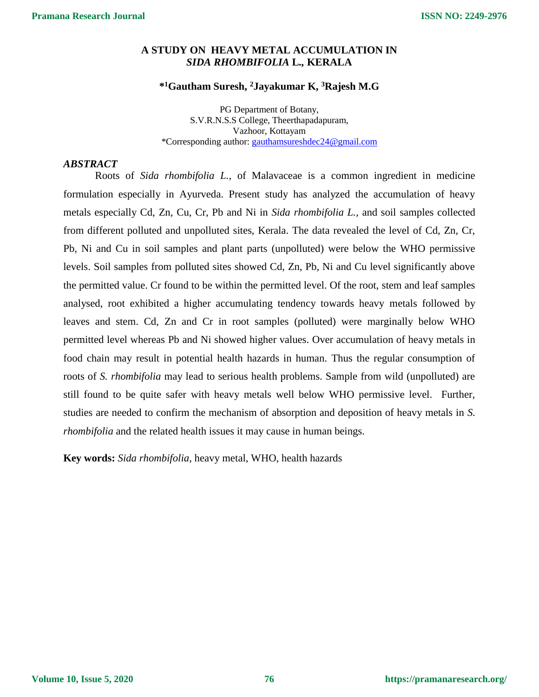# **A STUDY ON HEAVY METAL ACCUMULATION IN** *SIDA RHOMBIFOLIA* **L***.,* **KERALA**

## **\* <sup>1</sup>Gautham Suresh, <sup>2</sup>Jayakumar K, <sup>3</sup>Rajesh M.G**

PG Department of Botany, S.V.R.N.S.S College, Theerthapadapuram, Vazhoor, Kottayam \*Corresponding author: [gauthamsureshdec24@gmail.com](mailto:gauthamsureshdec24@gmail.com)

## *ABSTRACT*

Roots of *Sida rhombifolia L.,* of Malavaceae is a common ingredient in medicine formulation especially in Ayurveda. Present study has analyzed the accumulation of heavy metals especially Cd, Zn, Cu, Cr, Pb and Ni in *Sida rhombifolia L.,* and soil samples collected from different polluted and unpolluted sites, Kerala. The data revealed the level of Cd, Zn, Cr, Pb, Ni and Cu in soil samples and plant parts (unpolluted) were below the WHO permissive levels. Soil samples from polluted sites showed Cd, Zn, Pb, Ni and Cu level significantly above the permitted value. Cr found to be within the permitted level. Of the root, stem and leaf samples analysed, root exhibited a higher accumulating tendency towards heavy metals followed by leaves and stem. Cd, Zn and Cr in root samples (polluted) were marginally below WHO permitted level whereas Pb and Ni showed higher values. Over accumulation of heavy metals in food chain may result in potential health hazards in human. Thus the regular consumption of roots of *S. rhombifolia* may lead to serious health problems. Sample from wild (unpolluted) are still found to be quite safer with heavy metals well below WHO permissive level. Further, studies are needed to confirm the mechanism of absorption and deposition of heavy metals in *S. rhombifolia* and the related health issues it may cause in human beings.

**Key words:** *Sida rhombifolia*, heavy metal, WHO, health hazards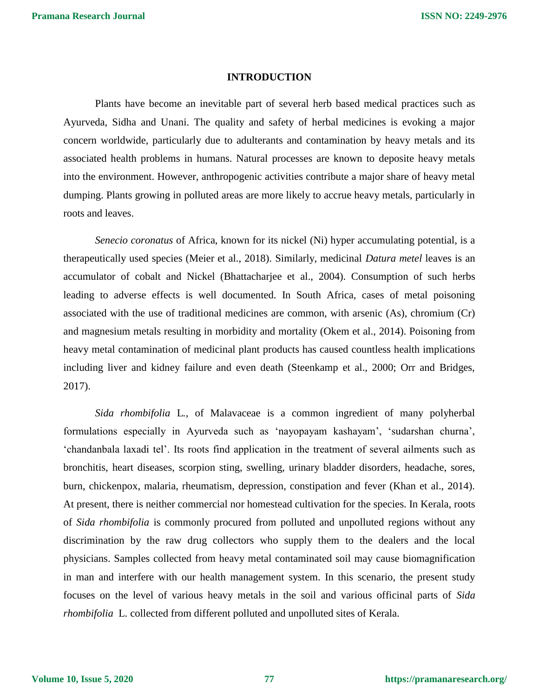### **INTRODUCTION**

Plants have become an inevitable part of several herb based medical practices such as Ayurveda, Sidha and Unani. The quality and safety of herbal medicines is evoking a major concern worldwide, particularly due to adulterants and contamination by heavy metals and its associated health problems in humans. Natural processes are known to deposite heavy metals into the environment. However, anthropogenic activities contribute a major share of heavy metal dumping. Plants growing in polluted areas are more likely to accrue heavy metals, particularly in roots and leaves.

*Senecio coronatus* of Africa, known for its nickel (Ni) hyper accumulating potential, is a therapeutically used species (Meier et al., 2018). Similarly, medicinal *Datura metel* leaves is an accumulator of cobalt and Nickel (Bhattacharjee et al., 2004). Consumption of such herbs leading to adverse effects is well documented. In South Africa, cases of metal poisoning associated with the use of traditional medicines are common, with arsenic (As), chromium (Cr) and magnesium metals resulting in morbidity and mortality (Okem et al., 2014). Poisoning from heavy metal contamination of medicinal plant products has caused countless health implications including liver and kidney failure and even death (Steenkamp et al., 2000; Orr and Bridges, 2017).

*Sida rhombifolia* L*.,* of Malavaceae is a common ingredient of many polyherbal formulations especially in Ayurveda such as 'nayopayam kashayam', 'sudarshan churna', 'chandanbala laxadi tel'. Its roots find application in the treatment of several ailments such as bronchitis, heart diseases, scorpion sting, swelling, urinary bladder disorders, headache, sores, burn, chickenpox, malaria, rheumatism, depression, constipation and fever (Khan et al., 2014). At present, there is neither commercial nor homestead cultivation for the species. In Kerala, roots of *Sida rhombifolia* is commonly procured from polluted and unpolluted regions without any discrimination by the raw drug collectors who supply them to the dealers and the local physicians. Samples collected from heavy metal contaminated soil may cause biomagnification in man and interfere with our health management system. In this scenario, the present study focuses on the level of various heavy metals in the soil and various officinal parts of *Sida rhombifolia* L. collected from different polluted and unpolluted sites of Kerala.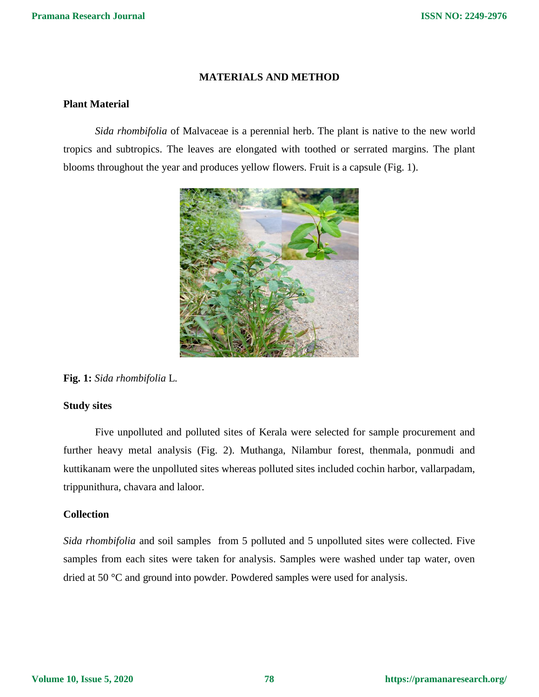## **MATERIALS AND METHOD**

## **Plant Material**

*Sida rhombifolia* of Malvaceae is a perennial herb. The plant is native to the new world tropics and subtropics. The leaves are elongated with toothed or serrated margins. The plant blooms throughout the year and produces yellow flowers. Fruit is a capsule (Fig. 1).



**Fig. 1:** *Sida rhombifolia* L*.*

### **Study sites**

Five unpolluted and polluted sites of Kerala were selected for sample procurement and further heavy metal analysis (Fig. 2). Muthanga, Nilambur forest, thenmala, ponmudi and kuttikanam were the unpolluted sites whereas polluted sites included cochin harbor, vallarpadam, trippunithura, chavara and laloor.

## **Collection**

*Sida rhombifolia* and soil samples from 5 polluted and 5 unpolluted sites were collected. Five samples from each sites were taken for analysis. Samples were washed under tap water, oven dried at 50 °C and ground into powder. Powdered samples were used for analysis.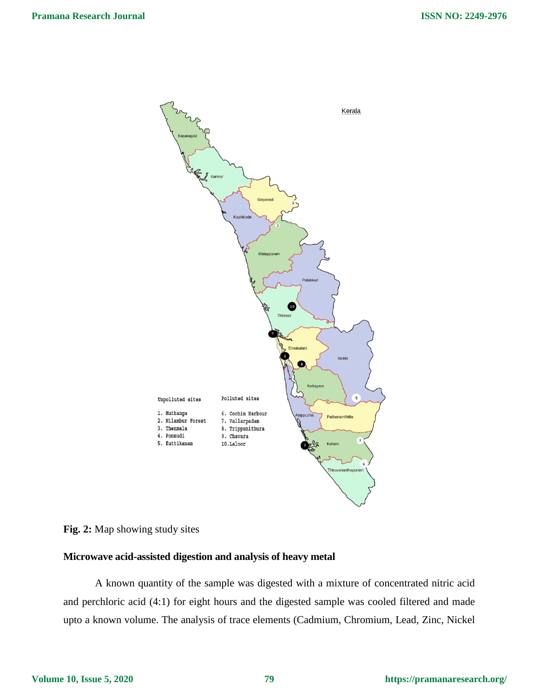

# **Fig. 2:** Map showing study sites

## **Microwave acid-assisted digestion and analysis of heavy metal**

A known quantity of the sample was digested with a mixture of concentrated nitric acid and perchloric acid (4:1) for eight hours and the digested sample was cooled filtered and made upto a known volume. The analysis of trace elements (Cadmium, Chromium, Lead, Zinc, Nickel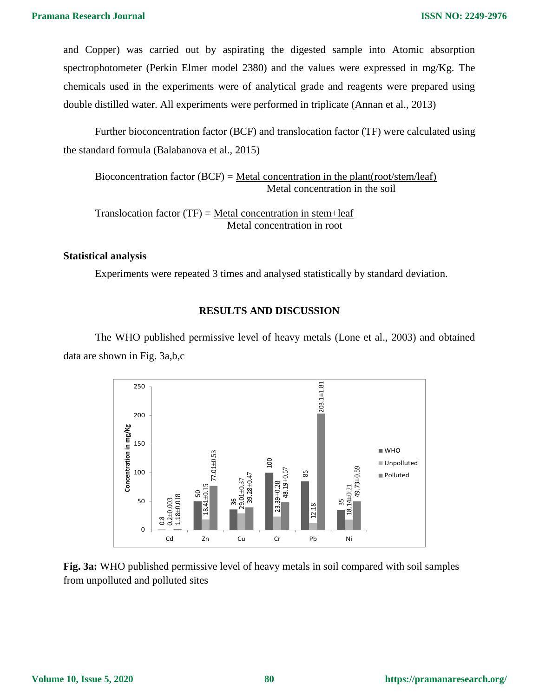and Copper) was carried out by aspirating the digested sample into Atomic absorption spectrophotometer (Perkin Elmer model 2380) and the values were expressed in mg/Kg. The chemicals used in the experiments were of analytical grade and reagents were prepared using double distilled water. All experiments were performed in triplicate (Annan et al., 2013)

Further bioconcentration factor (BCF) and translocation factor (TF) were calculated using the standard formula (Balabanova et al., 2015)

Bioconcentration factor (BCF) = Metal concentration in the plant(root/stem/leaf) Metal concentration in the soil

Translocation factor  $(TF)$  = Metal concentration in stem+leaf Metal concentration in root

### **Statistical analysis**

Experiments were repeated 3 times and analysed statistically by standard deviation.

## **RESULTS AND DISCUSSION**

The WHO published permissive level of heavy metals (Lone et al., 2003) and obtained data are shown in Fig. 3a,b,c



**Fig. 3a:** WHO published permissive level of heavy metals in soil compared with soil samples from unpolluted and polluted sites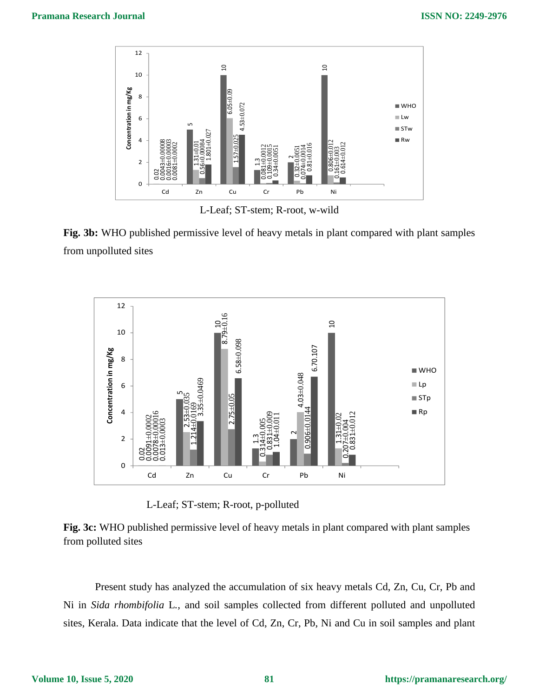

L-Leaf; ST-stem; R-root, w-wild

**Fig. 3b:** WHO published permissive level of heavy metals in plant compared with plant samples from unpolluted sites



L-Leaf; ST-stem; R-root, p-polluted



Present study has analyzed the accumulation of six heavy metals Cd, Zn, Cu, Cr, Pb and Ni in *Sida rhombifolia* L*.,* and soil samples collected from different polluted and unpolluted sites, Kerala. Data indicate that the level of Cd, Zn, Cr, Pb, Ni and Cu in soil samples and plant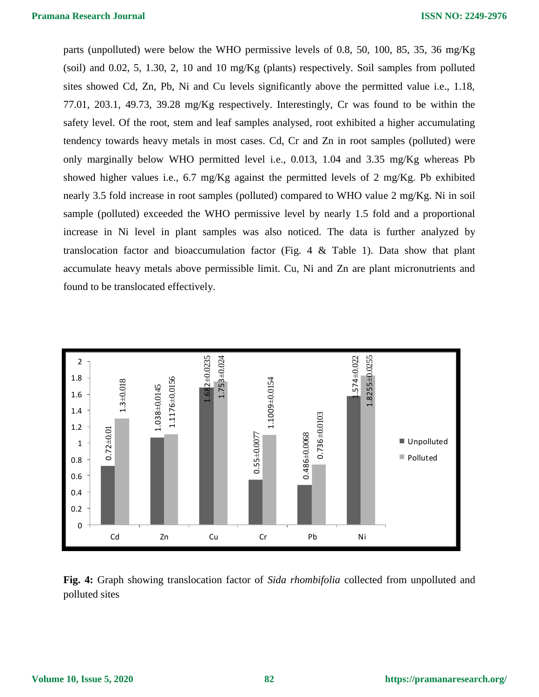parts (unpolluted) were below the WHO permissive levels of 0.8, 50, 100, 85, 35, 36 mg/Kg (soil) and 0.02, 5, 1.30, 2, 10 and 10 mg/Kg (plants) respectively. Soil samples from polluted sites showed Cd, Zn, Pb, Ni and Cu levels significantly above the permitted value i.e., 1.18, 77.01, 203.1, 49.73, 39.28 mg/Kg respectively. Interestingly, Cr was found to be within the safety level. Of the root, stem and leaf samples analysed, root exhibited a higher accumulating tendency towards heavy metals in most cases. Cd, Cr and Zn in root samples (polluted) were only marginally below WHO permitted level i.e., 0.013, 1.04 and 3.35 mg/Kg whereas Pb showed higher values i.e., 6.7 mg/Kg against the permitted levels of 2 mg/Kg. Pb exhibited nearly 3.5 fold increase in root samples (polluted) compared to WHO value 2 mg/Kg. Ni in soil sample (polluted) exceeded the WHO permissive level by nearly 1.5 fold and a proportional increase in Ni level in plant samples was also noticed. The data is further analyzed by translocation factor and bioaccumulation factor (Fig. 4  $&$  Table 1). Data show that plant accumulate heavy metals above permissible limit. Cu, Ni and Zn are plant micronutrients and found to be translocated effectively.



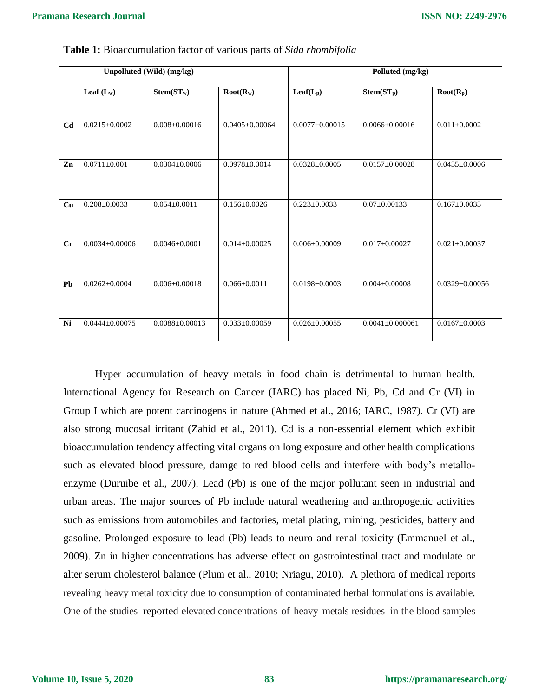|                | Unpolluted (Wild) (mg/kg) |                      |                      | Polluted (mg/kg)     |                       |                      |
|----------------|---------------------------|----------------------|----------------------|----------------------|-----------------------|----------------------|
|                | Leaf $(L_w)$              | $Stem(ST_w)$         | $Root(R_w)$          | $Leaf(L_p)$          | $Stem(ST_p)$          | $Root(R_p)$          |
|                |                           |                      |                      |                      |                       |                      |
| C <sub>d</sub> | $0.0215 \pm 0.0002$       | $0.008 \pm 0.00016$  | $0.0405 \pm 0.00064$ | $0.0077 \pm 0.00015$ | $0.0066 \pm 0.00016$  | $0.011 \pm 0.0002$   |
|                |                           |                      |                      |                      |                       |                      |
| Zn             | $0.0711 \pm 0.001$        | $0.0304 \pm 0.0006$  | $0.0978 \pm 0.0014$  | $0.0328 \pm 0.0005$  | $0.0157 \pm 0.00028$  | $0.0435 \pm 0.0006$  |
|                |                           |                      |                      |                      |                       |                      |
| Cu             | $0.208 + 0.0033$          | $0.054 + 0.0011$     | $0.156 + 0.0026$     | $0.223 \pm 0.0033$   | $0.07 \pm 0.00133$    | $0.167 \pm 0.0033$   |
|                |                           |                      |                      |                      |                       |                      |
| $C_{r}$        | $0.0034 + 0.00006$        | $0.0046 + 0.0001$    | $0.014 + 0.00025$    | $0.006 \pm 0.00009$  | $0.017 \pm 0.00027$   | $0.021 \pm 0.00037$  |
|                |                           |                      |                      |                      |                       |                      |
| Pb             | $0.0262 \pm 0.0004$       | $0.006 \pm 0.00018$  | $0.066 \pm 0.0011$   | $0.0198 \pm 0.0003$  | $0.004 \pm 0.00008$   | $0.0329 \pm 0.00056$ |
|                |                           |                      |                      |                      |                       |                      |
| Ni             | $0.0444 \pm 0.00075$      | $0.0088 \pm 0.00013$ | $0.033 \pm 0.00059$  | $0.026 \pm 0.00055$  | $0.0041 \pm 0.000061$ | $0.0167 \pm 0.0003$  |

**Table 1:** Bioaccumulation factor of various parts of *Sida rhombifolia*

Hyper accumulation of heavy metals in food chain is detrimental to human health. International Agency for Research on Cancer (IARC) has placed Ni, Pb, Cd and Cr (VI) in Group I which are potent carcinogens in nature (Ahmed et al., 2016; IARC, 1987). Cr (VI) are also strong mucosal irritant (Zahid et al., 2011). Cd is a non-essential element which exhibit bioaccumulation tendency affecting vital organs on long exposure and other health complications such as elevated blood pressure, damge to red blood cells and interfere with body's metalloenzyme (Duruibe et al., 2007). Lead (Pb) is one of the major pollutant seen in industrial and urban areas. The major sources of Pb include natural weathering and anthropogenic activities such as emissions from automobiles and factories, metal plating, mining, pesticides, battery and gasoline. Prolonged exposure to lead (Pb) leads to neuro and renal toxicity (Emmanuel et al., 2009). Zn in higher concentrations has adverse effect on gastrointestinal tract and modulate or alter serum cholesterol balance (Plum et al., 2010; Nriagu, 2010). A plethora of medical reports revealing heavy metal toxicity due to consumption of contaminated herbal formulations is available. One of the studies reported elevated concentrations of heavy metals residues in the blood samples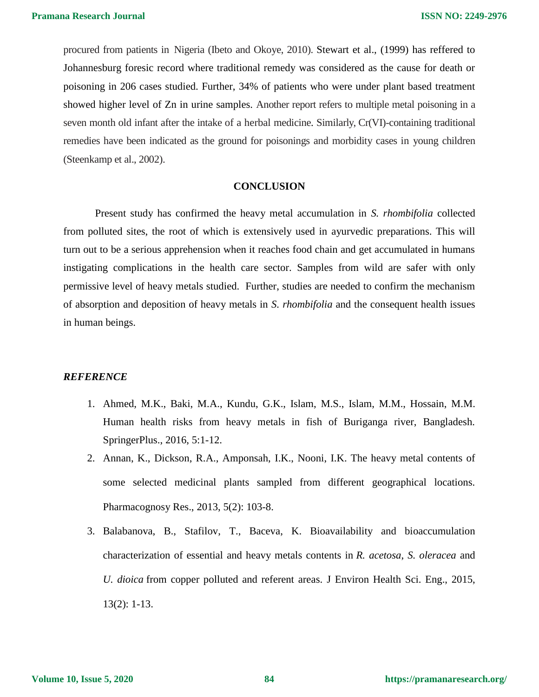procured from patients in Nigeria (Ibeto and Okoye, 2010). Stewart et al., (1999) has reffered to Johannesburg foresic record where traditional remedy was considered as the cause for death or poisoning in 206 cases studied. Further, 34% of patients who were under plant based treatment showed higher level of Zn in urine samples. Another report refers to multiple metal poisoning in a seven month old infant after the intake of a herbal medicine. Similarly, Cr(VI)-containing traditional remedies have been indicated as the ground for poisonings and morbidity cases in young children (Steenkamp et al., 2002).

#### **CONCLUSION**

Present study has confirmed the heavy metal accumulation in *S. rhombifolia* collected from polluted sites, the root of which is extensively used in ayurvedic preparations. This will turn out to be a serious apprehension when it reaches food chain and get accumulated in humans instigating complications in the health care sector. Samples from wild are safer with only permissive level of heavy metals studied. Further, studies are needed to confirm the mechanism of absorption and deposition of heavy metals in *S. rhombifolia* and the consequent health issues in human beings.

### *REFERENCE*

- 1. Ahmed, M.K., Baki, M.A., Kundu, G.K., Islam, M.S., Islam, M.M., Hossain, M.M. Human health risks from heavy metals in fish of Buriganga river, Bangladesh. SpringerPlus., 2016, 5:1-12.
- 2. Annan, K., Dickson, R.A., Amponsah, I.K., Nooni, I.K. The heavy metal contents of some selected medicinal plants sampled from different geographical locations. Pharmacognosy Res., 2013, 5(2): 103-8.
- 3. Balabanova, B., Stafilov, T., Baceva, K. Bioavailability and bioaccumulation characterization of essential and heavy metals contents in *R. acetosa*, *S. oleracea* and *U. dioica* from copper polluted and referent areas. [J Environ Health Sci. Eng.](https://www.ncbi.nlm.nih.gov/pmc/articles/PMC4314730/), 2015, 13(2): 1-13.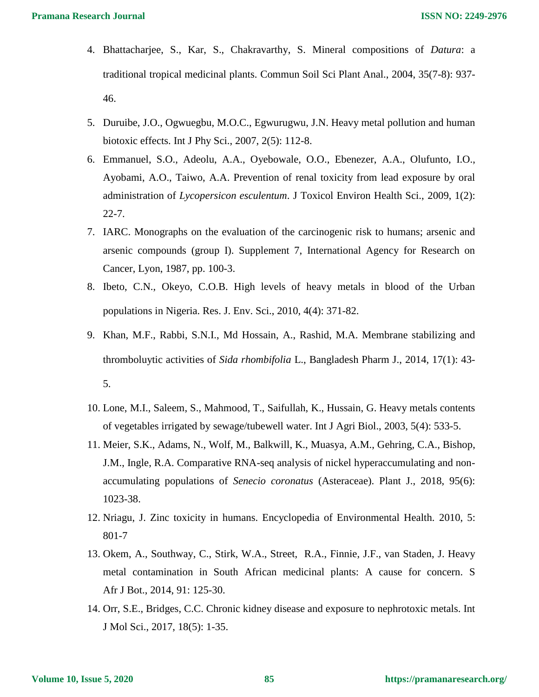- 4. Bhattacharjee, S., Kar, S., Chakravarthy, S. Mineral compositions of *Datura*: a traditional tropical medicinal plants. Commun Soil Sci Plant Anal., 2004, 35(7-8): 937- 46.
- 5. Duruibe, J.O., Ogwuegbu, M.O.C., Egwurugwu, J.N. Heavy metal pollution and human biotoxic effects. Int J Phy Sci., 2007, 2(5): 112-8.
- 6. Emmanuel, S.O., Adeolu, A.A., Oyebowale, O.O., Ebenezer, A.A., Olufunto, I.O., Ayobami, A.O., Taiwo, A.A. Prevention of renal toxicity from lead exposure by oral administration of *Lycopersicon esculentum*. J Toxicol Environ Health Sci., 2009, 1(2): 22-7.
- 7. IARC. Monographs on the evaluation of the carcinogenic risk to humans; arsenic and arsenic compounds (group I). Supplement 7, International Agency for Research on Cancer, Lyon, 1987, pp. 100-3.
- 8. Ibeto, C.N., Okeyo, C.O.B. High levels of heavy metals in blood of the Urban populations in Nigeria. Res. J. Env. Sci., 2010, 4(4): 371-82.
- 9. Khan, M.F., Rabbi, S.N.I., Md Hossain, A., Rashid, M.A. Membrane stabilizing and thromboluytic activities of *Sida rhombifolia* L., Bangladesh Pharm J., 2014, 17(1): 43- 5.
- 10. Lone, M.I., Saleem, S., Mahmood, T., Saifullah, K., Hussain, G. Heavy metals contents of vegetables irrigated by sewage/tubewell water. Int J Agri Biol., 2003, 5(4): 533-5.
- 11. Meier, S.K., Adams, N., Wolf, M., Balkwill, K., Muasya, A.M., Gehring, C.A., Bishop, J.M., Ingle, R.A. Comparative RNA-seq analysis of nickel hyperaccumulating and nonaccumulating populations of *Senecio coronatus* (Asteraceae). Plant J., 2018, 95(6): 1023-38.
- 12. Nriagu, J. Zinc toxicity in humans. Encyclopedia of Environmental Health. 2010, 5: 801-7
- 13. Okem, A., Southway, C., Stirk, W.A., Street, R.A., Finnie, J.F., van Staden, J. Heavy metal contamination in South African medicinal plants: A cause for concern. S Afr J Bot., 2014, 91: 125-30.
- 14. Orr, S.E., Bridges, C.C. Chronic kidney disease and exposure to nephrotoxic metals. Int J Mol Sci., 2017, 18(5): 1-35.